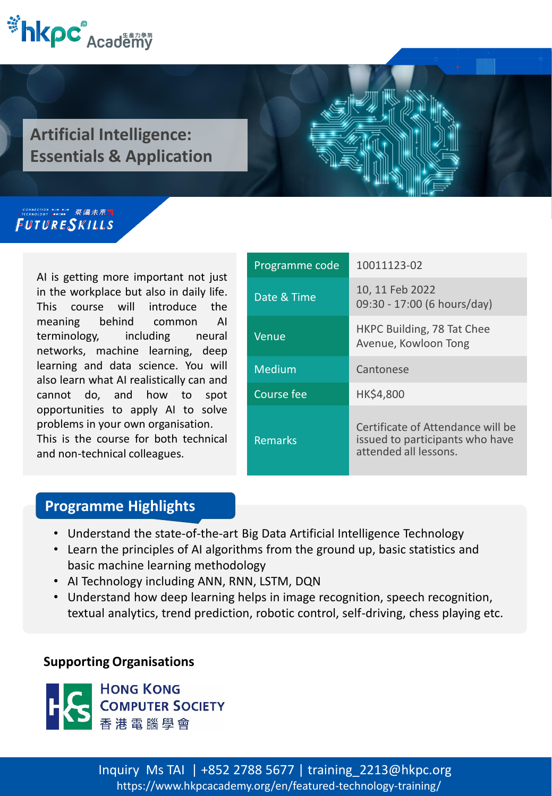

**Artificial Intelligence: Essentials & Application**

#### FUTURESKILLS

AI is getting more important not just in the workplace but also in daily life. This course will introduce the meaning behind common AI terminology, including neural networks, machine learning, deep learning and data science. You will also learn what AI realistically can and cannot do, and how to spot opportunities to apply AI to solve problems in your own organisation.

This is the course for both technical and non-technical colleagues.

| Programme code | 10011123-02                                                                                   |
|----------------|-----------------------------------------------------------------------------------------------|
| Date & Time    | 10, 11 Feb 2022<br>09:30 - 17:00 (6 hours/day)                                                |
| Venue          | HKPC Building, 78 Tat Chee<br>Avenue, Kowloon Tong                                            |
| Medium         | Cantonese                                                                                     |
| Course fee     | HK\$4,800                                                                                     |
| <b>Remarks</b> | Certificate of Attendance will be<br>issued to participants who have<br>attended all lessons. |

### **Programme Highlights**

- Understand the state-of-the-art Big Data Artificial Intelligence Technology
- Learn the principles of AI algorithms from the ground up, basic statistics and basic machine learning methodology
- AI Technology including ANN, RNN, LSTM, DQN
- Understand how deep learning helps in image recognition, speech recognition, textual analytics, trend prediction, robotic control, self-driving, chess playing etc.

#### **Supporting Organisations**



<https://www.hkpcacademy.org/en/featured-technology-training/> Inquiry Ms TAI | +852 2788 5677 | training\_2213@hkpc.org